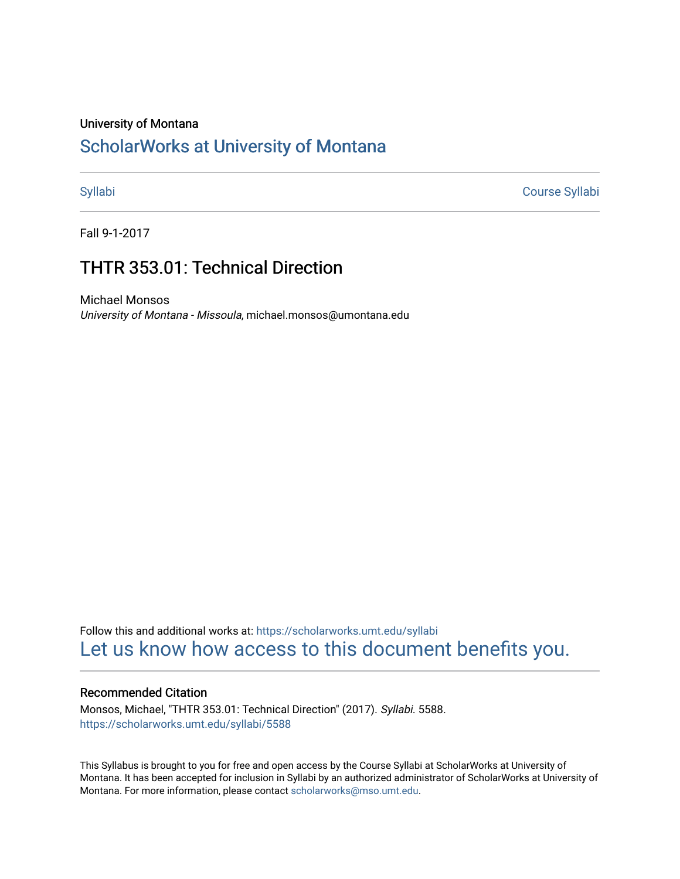#### University of Montana

# [ScholarWorks at University of Montana](https://scholarworks.umt.edu/)

[Syllabi](https://scholarworks.umt.edu/syllabi) [Course Syllabi](https://scholarworks.umt.edu/course_syllabi) 

Fall 9-1-2017

# THTR 353.01: Technical Direction

Michael Monsos University of Montana - Missoula, michael.monsos@umontana.edu

Follow this and additional works at: [https://scholarworks.umt.edu/syllabi](https://scholarworks.umt.edu/syllabi?utm_source=scholarworks.umt.edu%2Fsyllabi%2F5588&utm_medium=PDF&utm_campaign=PDFCoverPages)  [Let us know how access to this document benefits you.](https://goo.gl/forms/s2rGfXOLzz71qgsB2) 

#### Recommended Citation

Monsos, Michael, "THTR 353.01: Technical Direction" (2017). Syllabi. 5588. [https://scholarworks.umt.edu/syllabi/5588](https://scholarworks.umt.edu/syllabi/5588?utm_source=scholarworks.umt.edu%2Fsyllabi%2F5588&utm_medium=PDF&utm_campaign=PDFCoverPages)

This Syllabus is brought to you for free and open access by the Course Syllabi at ScholarWorks at University of Montana. It has been accepted for inclusion in Syllabi by an authorized administrator of ScholarWorks at University of Montana. For more information, please contact [scholarworks@mso.umt.edu.](mailto:scholarworks@mso.umt.edu)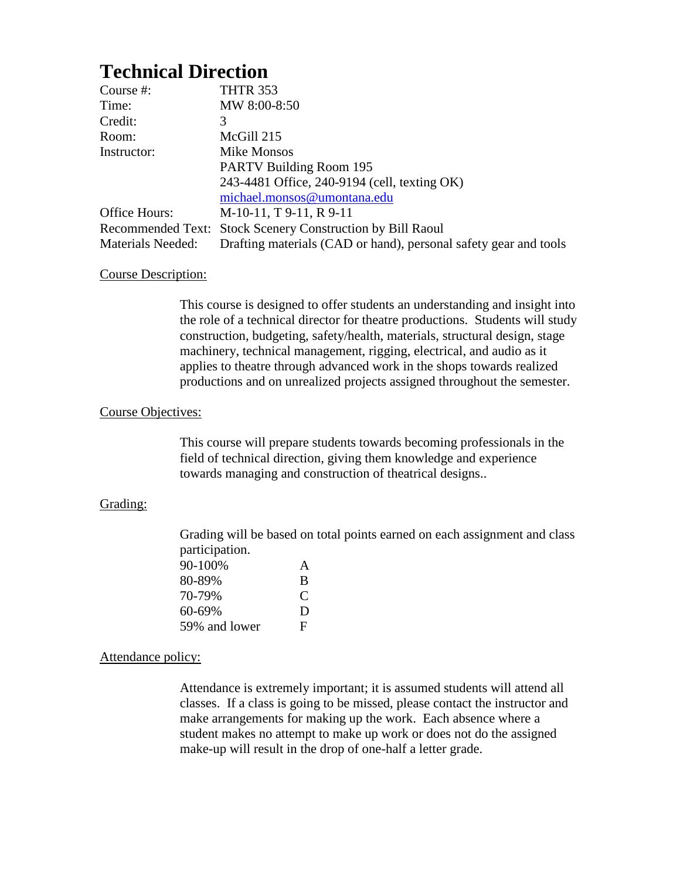# **Technical Direction**

| Course $#$ :             | <b>THTR 353</b>                                                  |
|--------------------------|------------------------------------------------------------------|
| Time:                    | MW 8:00-8:50                                                     |
| Credit:                  | 3                                                                |
| Room:                    | McGill 215                                                       |
| Instructor:              | Mike Monsos                                                      |
|                          | <b>PARTV Building Room 195</b>                                   |
|                          | 243-4481 Office, 240-9194 (cell, texting OK)                     |
|                          | michael.monsos@umontana.edu                                      |
| Office Hours:            | $M-10-11$ , T 9-11, R 9-11                                       |
|                          | Recommended Text: Stock Scenery Construction by Bill Raoul       |
| <b>Materials Needed:</b> | Drafting materials (CAD or hand), personal safety gear and tools |

#### Course Description:

This course is designed to offer students an understanding and insight into the role of a technical director for theatre productions. Students will study construction, budgeting, safety/health, materials, structural design, stage machinery, technical management, rigging, electrical, and audio as it applies to theatre through advanced work in the shops towards realized productions and on unrealized projects assigned throughout the semester.

#### Course Objectives:

This course will prepare students towards becoming professionals in the field of technical direction, giving them knowledge and experience towards managing and construction of theatrical designs..

#### Grading:

Grading will be based on total points earned on each assignment and class participation.

| 90-100%       | A |
|---------------|---|
| 80-89%        | R |
| 70-79%        | € |
| 60-69%        | Ð |
| 59% and lower | F |

#### Attendance policy:

Attendance is extremely important; it is assumed students will attend all classes. If a class is going to be missed, please contact the instructor and make arrangements for making up the work. Each absence where a student makes no attempt to make up work or does not do the assigned make-up will result in the drop of one-half a letter grade.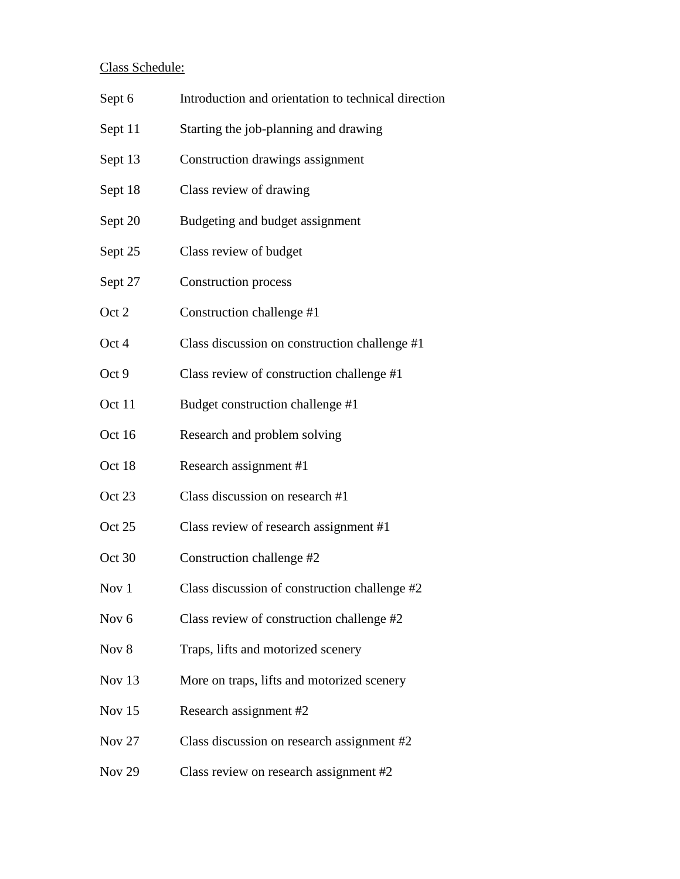## Class Schedule:

| Sept 6           | Introduction and orientation to technical direction |
|------------------|-----------------------------------------------------|
| Sept 11          | Starting the job-planning and drawing               |
| Sept 13          | Construction drawings assignment                    |
| Sept 18          | Class review of drawing                             |
| Sept 20          | Budgeting and budget assignment                     |
| Sept 25          | Class review of budget                              |
| Sept 27          | <b>Construction process</b>                         |
| Oct 2            | Construction challenge #1                           |
| Oct 4            | Class discussion on construction challenge #1       |
| Oct 9            | Class review of construction challenge #1           |
| Oct 11           | Budget construction challenge #1                    |
| Oct 16           | Research and problem solving                        |
| Oct 18           | Research assignment #1                              |
| Oct 23           | Class discussion on research #1                     |
| Oct 25           | Class review of research assignment #1              |
| Oct 30           | Construction challenge #2                           |
| Nov 1            | Class discussion of construction challenge #2       |
| Nov <sub>6</sub> | Class review of construction challenge #2           |
| Nov 8            | Traps, lifts and motorized scenery                  |
| <b>Nov 13</b>    | More on traps, lifts and motorized scenery          |
| Nov $15$         | Research assignment #2                              |
| <b>Nov 27</b>    | Class discussion on research assignment #2          |
| Nov 29           | Class review on research assignment #2              |